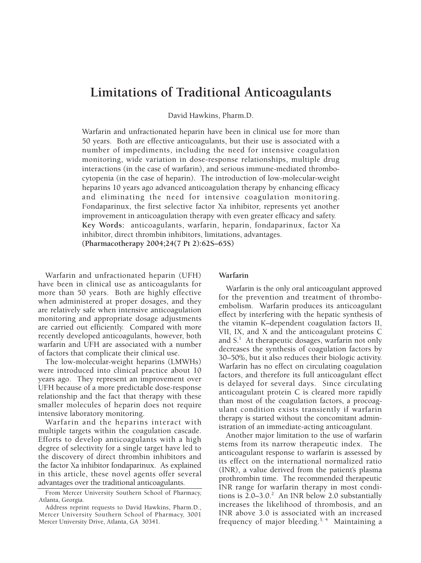# **Limitations of Traditional Anticoagulants**

David Hawkins, Pharm.D.

Warfarin and unfractionated heparin have been in clinical use for more than 50 years. Both are effective anticoagulants, but their use is associated with a number of impediments, including the need for intensive coagulation monitoring, wide variation in dose-response relationships, multiple drug interactions (in the case of warfarin), and serious immune-mediated thrombocytopenia (in the case of heparin). The introduction of low-molecular-weight heparins 10 years ago advanced anticoagulation therapy by enhancing efficacy and eliminating the need for intensive coagulation monitoring. Fondaparinux, the first selective factor Xa inhibitor, represents yet another improvement in anticoagulation therapy with even greater efficacy and safety. **Key Words:** anticoagulants, warfarin, heparin, fondaparinux, factor Xa inhibitor, direct thrombin inhibitors, limitations, advantages. **(Pharmacotherapy 2004;24(7 Pt 2):62S–65S)**

Warfarin and unfractionated heparin (UFH) have been in clinical use as anticoagulants for more than 50 years. Both are highly effective when administered at proper dosages, and they are relatively safe when intensive anticoagulation monitoring and appropriate dosage adjustments are carried out efficiently. Compared with more recently developed anticoagulants, however, both warfarin and UFH are associated with a number of factors that complicate their clinical use.

The low-molecular-weight heparins (LMWHs) were introduced into clinical practice about 10 years ago. They represent an improvement over UFH because of a more predictable dose-response relationship and the fact that therapy with these smaller molecules of heparin does not require intensive laboratory monitoring.

Warfarin and the heparins interact with multiple targets within the coagulation cascade. Efforts to develop anticoagulants with a high degree of selectivity for a single target have led to the discovery of direct thrombin inhibitors and the factor Xa inhibitor fondaparinux. As explained in this article, these novel agents offer several advantages over the traditional anticoagulants.

## **Warfarin**

Warfarin is the only oral anticoagulant approved for the prevention and treatment of thromboembolism. Warfarin produces its anticoagulant effect by interfering with the hepatic synthesis of the vitamin K–dependent coagulation factors II, VII, IX, and X and the anticoagulant proteins C and S.<sup>1</sup> At therapeutic dosages, warfarin not only decreases the synthesis of coagulation factors by 30–50%, but it also reduces their biologic activity. Warfarin has no effect on circulating coagulation factors, and therefore its full anticoagulant effect is delayed for several days. Since circulating anticoagulant protein C is cleared more rapidly than most of the coagulation factors, a procoagulant condition exists transiently if warfarin therapy is started without the concomitant administration of an immediate-acting anticoagulant.

Another major limitation to the use of warfarin stems from its narrow therapeutic index. The anticoagulant response to warfarin is assessed by its effect on the international normalized ratio (INR), a value derived from the patient's plasma prothrombin time. The recommended therapeutic INR range for warfarin therapy in most conditions is  $2.0-3.0$ .<sup>2</sup> An INR below 2.0 substantially increases the likelihood of thrombosis, and an INR above 3.0 is associated with an increased frequency of major bleeding.<sup>3, 4</sup> Maintaining a

From Mercer University Southern School of Pharmacy, Atlanta, Georgia.

Address reprint requests to David Hawkins, Pharm.D., Mercer University Southern School of Pharmacy, 3001 Mercer University Drive, Atlanta, GA 30341.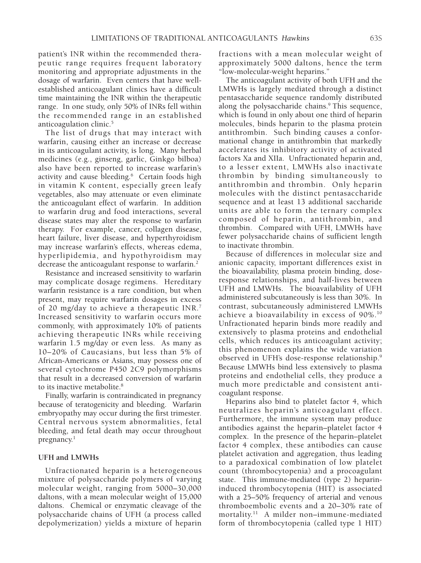patient's INR within the recommended therapeutic range requires frequent laboratory monitoring and appropriate adjustments in the dosage of warfarin. Even centers that have wellestablished anticoagulant clinics have a difficult time maintaining the INR within the therapeutic range. In one study, only 50% of INRs fell within the recommended range in an established anticoagulation clinic.5

The list of drugs that may interact with warfarin, causing either an increase or decrease in its anticoagulant activity, is long. Many herbal medicines (e.g., ginseng, garlic, Ginkgo bilboa) also have been reported to increase warfarin's activity and cause bleeding.<sup>6</sup> Certain foods high in vitamin K content, especially green leafy vegetables, also may attenuate or even eliminate the anticoagulant effect of warfarin. In addition to warfarin drug and food interactions, several disease states may alter the response to warfarin therapy. For example, cancer, collagen disease, heart failure, liver disease, and hyperthyroidism may increase warfarin's effects, whereas edema, hyperlipidemia, and hypothyroidism may decrease the anticoagulant response to warfarin.<sup>2</sup>

Resistance and increased sensitivity to warfarin may complicate dosage regimens. Hereditary warfarin resistance is a rare condition, but when present, may require warfarin dosages in excess of 20 mg/day to achieve a therapeutic INR.<sup>7</sup> Increased sensitivity to warfarin occurs more commonly, with approximately 10% of patients achieving therapeutic INRs while receiving warfarin 1.5 mg/day or even less. As many as 10–20% of Caucasians, but less than 5% of African-Americans or Asians, may possess one of several cytochrome P450 2C9 polymorphisms that result in a decreased conversion of warfarin to its inactive metabolite.<sup>8</sup>

Finally, warfarin is contraindicated in pregnancy because of teratogenicity and bleeding. Warfarin embryopathy may occur during the first trimester. Central nervous system abnormalities, fetal bleeding, and fetal death may occur throughout pregnancy.<sup>1</sup>

#### **UFH and LMWHs**

Unfractionated heparin is a heterogeneous mixture of polysaccharide polymers of varying molecular weight, ranging from 5000–30,000 daltons, with a mean molecular weight of 15,000 daltons. Chemical or enzymatic cleavage of the polysaccharide chains of UFH (a process called depolymerization) yields a mixture of heparin fractions with a mean molecular weight of approximately 5000 daltons, hence the term "low-molecular-weight heparins."

The anticoagulant activity of both UFH and the LMWHs is largely mediated through a distinct pentasaccharide sequence randomly distributed along the polysaccharide chains.<sup>9</sup> This sequence, which is found in only about one third of heparin molecules, binds heparin to the plasma protein antithrombin. Such binding causes a conformational change in antithrombin that markedly accelerates its inhibitory activity of activated factors Xa and XIIa. Unfractionated heparin and, to a lesser extent, LMWHs also inactivate thrombin by binding simultaneously to antithrombin and thrombin. Only heparin molecules with the distinct pentasaccharide sequence and at least 13 additional saccharide units are able to form the ternary complex composed of heparin, antithrombin, and thrombin. Compared with UFH, LMWHs have fewer polysaccharide chains of sufficient length to inactivate thrombin.

Because of differences in molecular size and anionic capacity, important differences exist in the bioavailability, plasma protein binding, doseresponse relationships, and half-lives between UFH and LMWHs. The bioavailability of UFH administered subcutaneously is less than 30%. In contrast, subcutaneously administered LMWHs achieve a bioavailability in excess of 90%.<sup>10</sup> Unfractionated heparin binds more readily and extensively to plasma proteins and endothelial cells, which reduces its anticoagulant activity; this phenomenon explains the wide variation observed in UFH's dose-response relationship.9 Because LMWHs bind less extensively to plasma proteins and endothelial cells, they produce a much more predictable and consistent anticoagulant response.

Heparins also bind to platelet factor 4, which neutralizes heparin's anticoagulant effect. Furthermore, the immune system may produce antibodies against the heparin–platelet factor 4 complex. In the presence of the heparin–platelet factor 4 complex, these antibodies can cause platelet activation and aggregation, thus leading to a paradoxical combination of low platelet count (thrombocytopenia) and a procoagulant state. This immune-mediated (type 2) heparininduced thrombocytopenia (HIT) is associated with a 25–50% frequency of arterial and venous thromboembolic events and a 20–30% rate of mortality.<sup>11</sup> A milder non–immune-mediated form of thrombocytopenia (called type 1 HIT)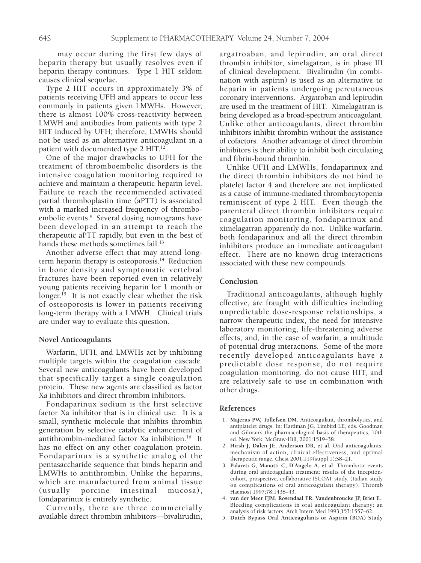may occur during the first few days of heparin therapy but usually resolves even if heparin therapy continues. Type 1 HIT seldom causes clinical sequelae.

Type 2 HIT occurs in approximately 3% of patients receiving UFH and appears to occur less commonly in patients given LMWHs. However, there is almost 100% cross-reactivity between LMWH and antibodies from patients with type 2 HIT induced by UFH; therefore, LMWHs should not be used as an alternative anticoagulant in a patient with documented type 2 HIT.<sup>12</sup>

One of the major drawbacks to UFH for the treatment of thromboembolic disorders is the intensive coagulation monitoring required to achieve and maintain a therapeutic heparin level. Failure to reach the recommended activated partial thromboplastin time (aPTT) is associated with a marked increased frequency of thromboembolic events.<sup>9</sup> Several dosing nomograms have been developed in an attempt to reach the therapeutic aPTT rapidly, but even in the best of hands these methods sometimes fail.<sup>13</sup>

Another adverse effect that may attend longterm heparin therapy is osteoporosis.<sup>14</sup> Reduction in bone density and symptomatic vertebral fractures have been reported even in relatively young patients receiving heparin for 1 month or longer.<sup>15</sup> It is not exactly clear whether the risk of osteoporosis is lower in patients receiving long-term therapy with a LMWH. Clinical trials are under way to evaluate this question.

#### **Novel Anticoagulants**

Warfarin, UFH, and LMWHs act by inhibiting multiple targets within the coagulation cascade. Several new anticoagulants have been developed that specifically target a single coagulation protein. These new agents are classified as factor Xa inhibitors and direct thrombin inhibitors.

Fondaparinux sodium is the first selective factor Xa inhibitor that is in clinical use. It is a small, synthetic molecule that inhibits thrombin generation by selective catalytic enhancement of antithrombin-mediated factor Xa inhibition.<sup>16</sup> It has no effect on any other coagulation protein. Fondaparinux is a synthetic analog of the pentasaccharide sequence that binds heparin and LMWHs to antithrombin. Unlike the heparins, which are manufactured from animal tissue<br>(usually porcine intestinal mucosa), intestinal mucosa), fondaparinux is entirely synthetic.

Currently, there are three commercially available direct thrombin inhibitors—bivalirudin,

argatroaban, and lepirudin; an oral direct thrombin inhibitor, ximelagatran, is in phase III of clinical development. Bivalirudin (in combination with aspirin) is used as an alternative to heparin in patients undergoing percutaneous coronary interventions. Argatroban and lepirudin are used in the treatment of HIT. Ximelagatran is being developed as a broad-spectrum anticoagulant. Unlike other anticoagulants, direct thrombin inhibitors inhibit thrombin without the assistance of cofactors. Another advantage of direct thrombin inhibitors is their ability to inhibit both circulating and fibrin-bound thrombin.

Unlike UFH and LMWHs, fondaparinux and the direct thrombin inhibitors do not bind to platelet factor 4 and therefore are not implicated as a cause of immune-mediated thrombocytopenia reminiscent of type 2 HIT. Even though the parenteral direct thrombin inhibitors require coagulation monitoring, fondaparinux and ximelagatran apparently do not. Unlike warfarin, both fondaparinux and all the direct thrombin inhibitors produce an immediate anticoagulant effect. There are no known drug interactions associated with these new compounds.

### **Conclusion**

Traditional anticoagulants, although highly effective, are fraught with difficulties including unpredictable dose-response relationships, a narrow therapeutic index, the need for intensive laboratory monitoring, life-threatening adverse effects, and, in the case of warfarin, a multitude of potential drug interactions. Some of the more recently developed anticoagulants have a predictable dose response, do not require coagulation monitoring, do not cause HIT, and are relatively safe to use in combination with other drugs.

#### **References**

- 1**. Majerus PW, Tollefsen DM**. Anticoagulant, thrombolytics, and antiplatelet drugs. In: Hardman JG, Limbird LE, eds. Goodman and Gilman's the pharmacological basis of therapeutics, 10th ed. New York: McGraw-Hill, 2001:1519–38.
- 2**. Hirsh J, Dalen JE, Anderson DR, et al**. Oral anticoagulants: mechanism of action, clinical effectiveness, and optimal therapeutic range. Chest 2001;119(suppl 1):S8–21.
- 3**. Palareti G, Manotti C, D'Angelo A, et al**. Thrombotic events during oral anticoagulant treatment: results of the inceptioncohort, prospective, collaborative ISCOAT study. (Italian study on complications of oral anticoagulant therapy). Thromb Haemost 1997;78:1438–43.
- 4**. van der Meer FJM, Rosendaal FR, Vandenbroucke JP, Briet E**.. Bleeding complications in oral anticoagulant therapy: an analysis of risk factors. Arch Intern Med 1993;153:1557–62.
- 5**. Dutch Bypass Oral Anticoagulants or Aspirin (BOA) Study**